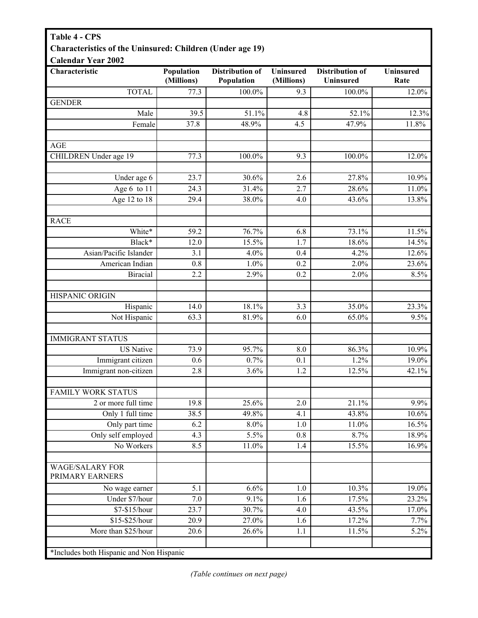## **Table 4 - CPS Characteristics of the Uninsured: Children (Under age 19)**

| Characteristic                            | Population         | Distribution of      | <b>Uninsured</b> | <b>Distribution of</b> | <b>Uninsured</b> |
|-------------------------------------------|--------------------|----------------------|------------------|------------------------|------------------|
| <b>TOTAL</b>                              | (Millions)<br>77.3 | Population<br>100.0% | (Millions)       | <b>Uninsured</b>       | Rate<br>12.0%    |
| <b>GENDER</b>                             |                    |                      | 9.3              | 100.0%                 |                  |
| Male                                      | 39.5               | 51.1%                | 4.8              | 52.1%                  | 12.3%            |
| Female                                    | 37.8               | 48.9%                | 4.5              | 47.9%                  | 11.8%            |
|                                           |                    |                      |                  |                        |                  |
| <b>AGE</b>                                |                    |                      |                  |                        |                  |
| CHILDREN Under age 19                     | 77.3               | 100.0%               | 9.3              | 100.0%                 | 12.0%            |
|                                           |                    |                      |                  |                        |                  |
| Under age 6                               | 23.7               | 30.6%                | 2.6              | 27.8%                  | 10.9%            |
| Age 6 to 11                               | 24.3               | 31.4%                | 2.7              | 28.6%                  | 11.0%            |
| Age $12$ to $18$                          | 29.4               | 38.0%                | 4.0              | 43.6%                  | 13.8%            |
| <b>RACE</b>                               |                    |                      |                  |                        |                  |
| White*                                    | 59.2               | 76.7%                | 6.8              | 73.1%                  | 11.5%            |
| Black*                                    | 12.0               | 15.5%                | 1.7              | 18.6%                  | 14.5%            |
| Asian/Pacific Islander                    | 3.1                | 4.0%                 | 0.4              | 4.2%                   | 12.6%            |
| American Indian                           | 0.8                | 1.0%                 | 0.2              | 2.0%                   | 23.6%            |
| <b>Biracial</b>                           | 2.2                | 2.9%                 | 0.2              | 2.0%                   | 8.5%             |
|                                           |                    |                      |                  |                        |                  |
| HISPANIC ORIGIN                           |                    |                      |                  |                        |                  |
| Hispanic                                  | 14.0               | 18.1%                | 3.3              | 35.0%                  | 23.3%            |
| Not Hispanic                              | 63.3               | 81.9%                | 6.0              | 65.0%                  | 9.5%             |
| <b>IMMIGRANT STATUS</b>                   |                    |                      |                  |                        |                  |
| <b>US</b> Native                          | 73.9               | 95.7%                | 8.0              | 86.3%                  | 10.9%            |
| Immigrant citizen                         | 0.6                | 0.7%                 | 0.1              | 1.2%                   | 19.0%            |
| Immigrant non-citizen                     | 2.8                | 3.6%                 | 1.2              | $12.5\%$               | 42.1%            |
|                                           |                    |                      |                  |                        |                  |
| <b>FAMILY WORK STATUS</b>                 |                    |                      |                  |                        |                  |
| 2 or more full time                       | 19.8               | 25.6%                | 2.0              | 21.1%                  | 9.9%             |
| Only 1 full time                          | 38.5               | 49.8%                | 4.1              | 43.8%                  | $10.6\%$         |
| Only part time                            | 6.2                | $8.0\%$              | $1.0\,$          | 11.0%                  | 16.5%            |
| Only self employed                        | 4.3                | 5.5%                 | 0.8              | 8.7%                   | 18.9%            |
| No Workers                                | 8.5                | 11.0%                | 1.4              | 15.5%                  | 16.9%            |
| <b>WAGE/SALARY FOR</b><br>PRIMARY EARNERS |                    |                      |                  |                        |                  |
| No wage earner                            | 5.1                | 6.6%                 | 1.0              | 10.3%                  | 19.0%            |
| Under \$7/hour                            | 7.0                | 9.1%                 | 1.6              | 17.5%                  | 23.2%            |
| \$7-\$15/hour                             | 23.7               | 30.7%                | 4.0              | 43.5%                  | 17.0%            |
| \$15-\$25/hour                            | $\overline{2}0.9$  | 27.0%                | 1.6              | 17.2%                  | 7.7%             |
| More than \$25/hour                       | 20.6               | 26.6%                | 1.1              | 11.5%                  | $5.2\%$          |
|                                           |                    |                      |                  |                        |                  |
| *Includes both Hispanic and Non Hispanic  |                    |                      |                  |                        |                  |

*(Table continues on next page)*